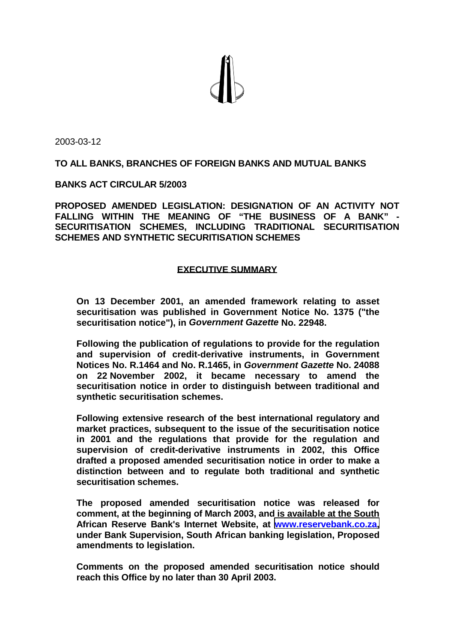

2003-03-12

## **TO ALL BANKS, BRANCHES OF FOREIGN BANKS AND MUTUAL BANKS**

#### **BANKS ACT CIRCULAR 5/2003**

**PROPOSED AMENDED LEGISLATION: DESIGNATION OF AN ACTIVITY NOT FALLING WITHIN THE MEANING OF "THE BUSINESS OF A BANK" - SECURITISATION SCHEMES, INCLUDING TRADITIONAL SECURITISATION SCHEMES AND SYNTHETIC SECURITISATION SCHEMES** 

## **EXECUTIVE SUMMARY**

**On 13 December 2001, an amended framework relating to asset securitisation was published in Government Notice No. 1375 ("the securitisation notice"), in** *Government Gazette* **No. 22948.** 

**Following the publication of regulations to provide for the regulation and supervision of credit-derivative instruments, in Government Notices No. R.1464 and No. R.1465, in** *Government Gazette* **No. 24088 on 22 November 2002, it became necessary to amend the securitisation notice in order to distinguish between traditional and synthetic securitisation schemes.** 

**Following extensive research of the best international regulatory and market practices, subsequent to the issue of the securitisation notice in 2001 and the regulations that provide for the regulation and supervision of credit-derivative instruments in 2002, this Office drafted a proposed amended securitisation notice in order to make a distinction between and to regulate both traditional and synthetic securitisation schemes.** 

**The proposed amended securitisation notice was released for comment, at the beginning of March 2003, and is available at the South African Reserve Bank's Internet Website, at [www.reservebank.co.za,](http://www.reservebank.co.za/) under Bank Supervision, South African banking legislation, Proposed amendments to legislation.** 

**Comments on the proposed amended securitisation notice should reach this Office by no later than 30 April 2003.**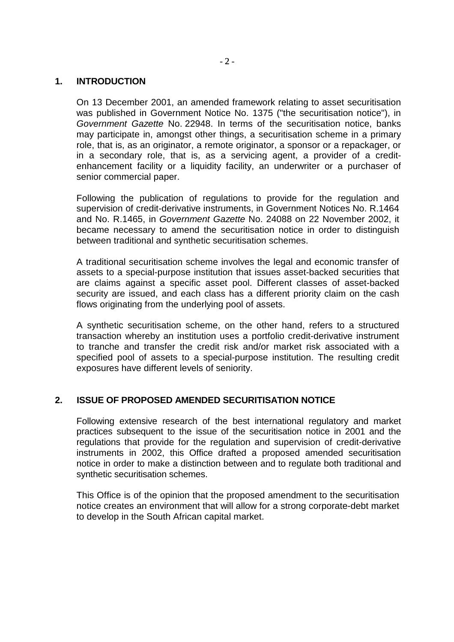# **1. INTRODUCTION**

On 13 December 2001, an amended framework relating to asset securitisation was published in Government Notice No. 1375 ("the securitisation notice"), in *Government Gazette* No. 22948. In terms of the securitisation notice, banks may participate in, amongst other things, a securitisation scheme in a primary role, that is, as an originator, a remote originator, a sponsor or a repackager, or in a secondary role, that is, as a servicing agent, a provider of a creditenhancement facility or a liquidity facility, an underwriter or a purchaser of senior commercial paper.

Following the publication of regulations to provide for the regulation and supervision of credit-derivative instruments, in Government Notices No. R.1464 and No. R.1465, in *Government Gazette* No. 24088 on 22 November 2002, it became necessary to amend the securitisation notice in order to distinguish between traditional and synthetic securitisation schemes.

A traditional securitisation scheme involves the legal and economic transfer of assets to a special-purpose institution that issues asset-backed securities that are claims against a specific asset pool. Different classes of asset-backed security are issued, and each class has a different priority claim on the cash flows originating from the underlying pool of assets.

A synthetic securitisation scheme, on the other hand, refers to a structured transaction whereby an institution uses a portfolio credit-derivative instrument to tranche and transfer the credit risk and/or market risk associated with a specified pool of assets to a special-purpose institution. The resulting credit exposures have different levels of seniority.

# **2. ISSUE OF PROPOSED AMENDED SECURITISATION NOTICE**

Following extensive research of the best international regulatory and market practices subsequent to the issue of the securitisation notice in 2001 and the regulations that provide for the regulation and supervision of credit-derivative instruments in 2002, this Office drafted a proposed amended securitisation notice in order to make a distinction between and to regulate both traditional and synthetic securitisation schemes.

This Office is of the opinion that the proposed amendment to the securitisation notice creates an environment that will allow for a strong corporate-debt market to develop in the South African capital market.